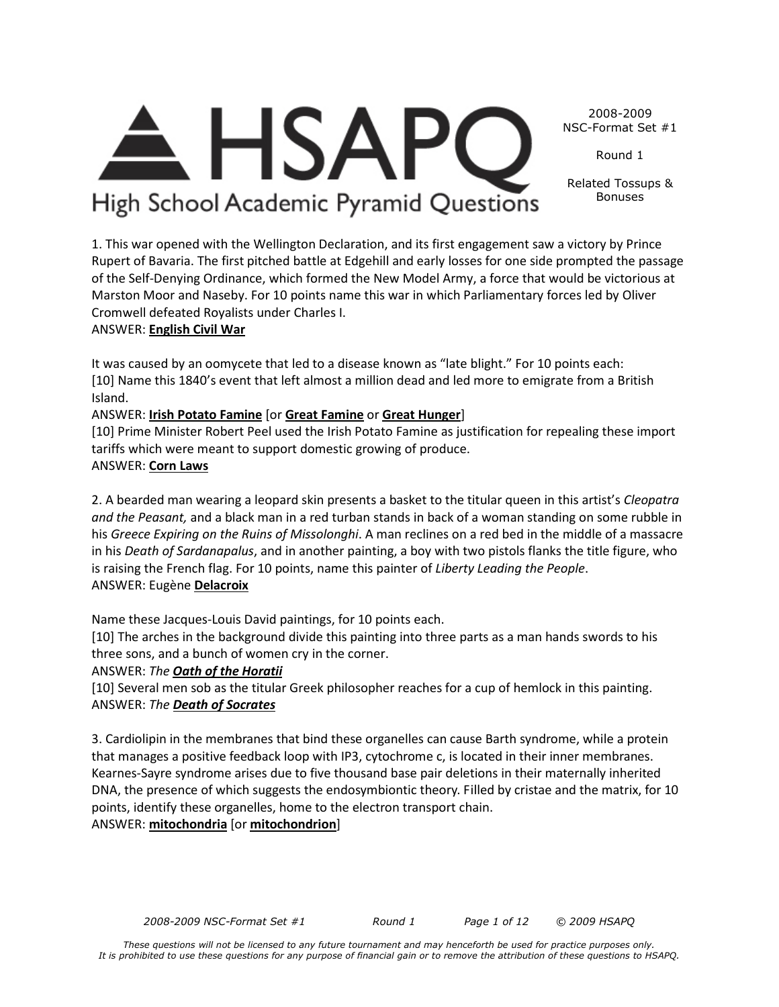*These questions will not be licensed to any future tournament and may henceforth be used for practice purposes only. It is prohibited to use these questions for any purpose of financial gain or to remove the attribution of these questions to HSAPQ.*

#### 2008-2009 NSC-Format Set #1

Round 1

Related Tossups & Bonuses

High School Academic Pyramid Questions 1. This war opened with the Wellington Declaration, and its first engagement saw a victory by Prince

**HSAR** 

Rupert of Bavaria. The first pitched battle at Edgehill and early losses for one side prompted the passage of the Self-Denying Ordinance, which formed the New Model Army, a force that would be victorious at Marston Moor and Naseby. For 10 points name this war in which Parliamentary forces led by Oliver Cromwell defeated Royalists under Charles I.

## ANSWER: **English Civil War**

It was caused by an oomycete that led to a disease known as "late blight." For 10 points each: [10] Name this 1840's event that left almost a million dead and led more to emigrate from a British Island.

## ANSWER: **Irish Potato Famine** [or **Great Famine** or **Great Hunger**]

[10] Prime Minister Robert Peel used the Irish Potato Famine as justification for repealing these import tariffs which were meant to support domestic growing of produce.

## ANSWER: **Corn Laws**

2. A bearded man wearing a leopard skin presents a basket to the titular queen in this artist's *Cleopatra and the Peasant,* and a black man in a red turban stands in back of a woman standing on some rubble in his *Greece Expiring on the Ruins of Missolonghi*. A man reclines on a red bed in the middle of a massacre in his *Death of Sardanapalus*, and in another painting, a boy with two pistols flanks the title figure, who is raising the French flag. For 10 points, name this painter of *Liberty Leading the People*. ANSWER: Eugène **Delacroix**

Name these Jacques-Louis David paintings, for 10 points each.

[10] The arches in the background divide this painting into three parts as a man hands swords to his three sons, and a bunch of women cry in the corner.

ANSWER: *The Oath of the Horatii*

[10] Several men sob as the titular Greek philosopher reaches for a cup of hemlock in this painting. ANSWER: *The Death of Socrates*

3. Cardiolipin in the membranes that bind these organelles can cause Barth syndrome, while a protein that manages a positive feedback loop with IP3, cytochrome c, is located in their inner membranes. Kearnes-Sayre syndrome arises due to five thousand base pair deletions in their maternally inherited DNA, the presence of which suggests the endosymbiontic theory. Filled by cristae and the matrix, for 10 points, identify these organelles, home to the electron transport chain.

ANSWER: **mitochondria** [or **mitochondrion**]

*2008-2009 NSC-Format Set #1 Round 1 Page 1 of 12 © 2009 HSAPQ*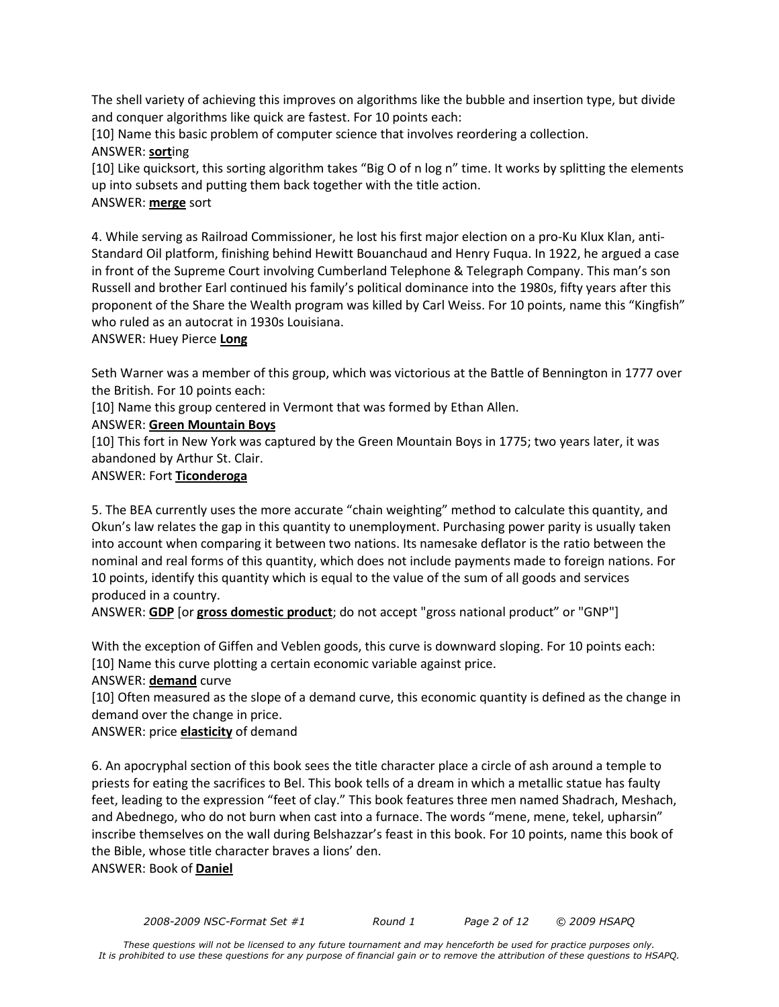The shell variety of achieving this improves on algorithms like the bubble and insertion type, but divide and conquer algorithms like quick are fastest. For 10 points each:

[10] Name this basic problem of computer science that involves reordering a collection. ANSWER: **sort**ing

[10] Like quicksort, this sorting algorithm takes "Big O of n log n" time. It works by splitting the elements up into subsets and putting them back together with the title action.

## ANSWER: **merge** sort

4. While serving as Railroad Commissioner, he lost his first major election on a pro-Ku Klux Klan, anti-Standard Oil platform, finishing behind Hewitt Bouanchaud and Henry Fuqua. In 1922, he argued a case in front of the Supreme Court involving Cumberland Telephone & Telegraph Company. This man's son Russell and brother Earl continued his family's political dominance into the 1980s, fifty years after this proponent of the Share the Wealth program was killed by Carl Weiss. For 10 points, name this "Kingfish" who ruled as an autocrat in 1930s Louisiana.

ANSWER: Huey Pierce **Long**

Seth Warner was a member of this group, which was victorious at the Battle of Bennington in 1777 over the British. For 10 points each:

[10] Name this group centered in Vermont that was formed by Ethan Allen.

## ANSWER: **Green Mountain Boys**

[10] This fort in New York was captured by the Green Mountain Boys in 1775; two years later, it was abandoned by Arthur St. Clair.

## ANSWER: Fort **Ticonderoga**

5. The BEA currently uses the more accurate "chain weighting" method to calculate this quantity, and Okun's law relates the gap in this quantity to unemployment. Purchasing power parity is usually taken into account when comparing it between two nations. Its namesake deflator is the ratio between the nominal and real forms of this quantity, which does not include payments made to foreign nations. For 10 points, identify this quantity which is equal to the value of the sum of all goods and services produced in a country.

ANSWER: **GDP** [or **gross domestic product**; do not accept "gross national product" or "GNP"]

With the exception of Giffen and Veblen goods, this curve is downward sloping. For 10 points each: [10] Name this curve plotting a certain economic variable against price.

ANSWER: **demand** curve

[10] Often measured as the slope of a demand curve, this economic quantity is defined as the change in demand over the change in price.

ANSWER: price **elasticity** of demand

6. An apocryphal section of this book sees the title character place a circle of ash around a temple to priests for eating the sacrifices to Bel. This book tells of a dream in which a metallic statue has faulty feet, leading to the expression "feet of clay." This book features three men named Shadrach, Meshach, and Abednego, who do not burn when cast into a furnace. The words "mene, mene, tekel, upharsin" inscribe themselves on the wall during Belshazzar's feast in this book. For 10 points, name this book of the Bible, whose title character braves a lions' den. ANSWER: Book of **Daniel**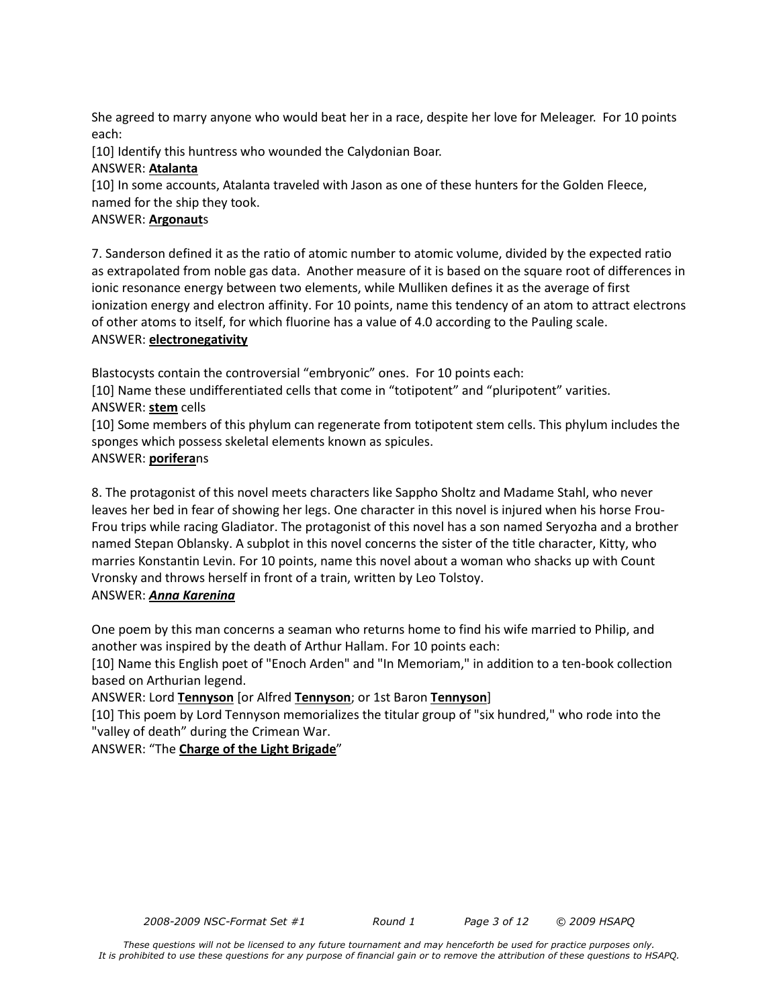She agreed to marry anyone who would beat her in a race, despite her love for Meleager. For 10 points each:

[10] Identify this huntress who wounded the Calydonian Boar.

## ANSWER: **Atalanta**

[10] In some accounts, Atalanta traveled with Jason as one of these hunters for the Golden Fleece, named for the ship they took.

## ANSWER: **Argonaut**s

7. Sanderson defined it as the ratio of atomic number to atomic volume, divided by the expected ratio as extrapolated from noble gas data. Another measure of it is based on the square root of differences in ionic resonance energy between two elements, while Mulliken defines it as the average of first ionization energy and electron affinity. For 10 points, name this tendency of an atom to attract electrons of other atoms to itself, for which fluorine has a value of 4.0 according to the Pauling scale. ANSWER: **electronegativity**

Blastocysts contain the controversial "embryonic" ones. For 10 points each:

[10] Name these undifferentiated cells that come in "totipotent" and "pluripotent" varities. ANSWER: **stem** cells

[10] Some members of this phylum can regenerate from totipotent stem cells. This phylum includes the sponges which possess skeletal elements known as spicules.

## ANSWER: **porifera**ns

8. The protagonist of this novel meets characters like Sappho Sholtz and Madame Stahl, who never leaves her bed in fear of showing her legs. One character in this novel is injured when his horse Frou-Frou trips while racing Gladiator. The protagonist of this novel has a son named Seryozha and a brother named Stepan Oblansky. A subplot in this novel concerns the sister of the title character, Kitty, who marries Konstantin Levin. For 10 points, name this novel about a woman who shacks up with Count Vronsky and throws herself in front of a train, written by Leo Tolstoy.

## ANSWER: *Anna Karenina*

One poem by this man concerns a seaman who returns home to find his wife married to Philip, and another was inspired by the death of Arthur Hallam. For 10 points each:

[10] Name this English poet of "Enoch Arden" and "In Memoriam," in addition to a ten-book collection based on Arthurian legend.

ANSWER: Lord **Tennyson** [or Alfred **Tennyson**; or 1st Baron **Tennyson**]

[10] This poem by Lord Tennyson memorializes the titular group of "six hundred," who rode into the "valley of death" during the Crimean War.

ANSWER: "The **Charge of the Light Brigade**"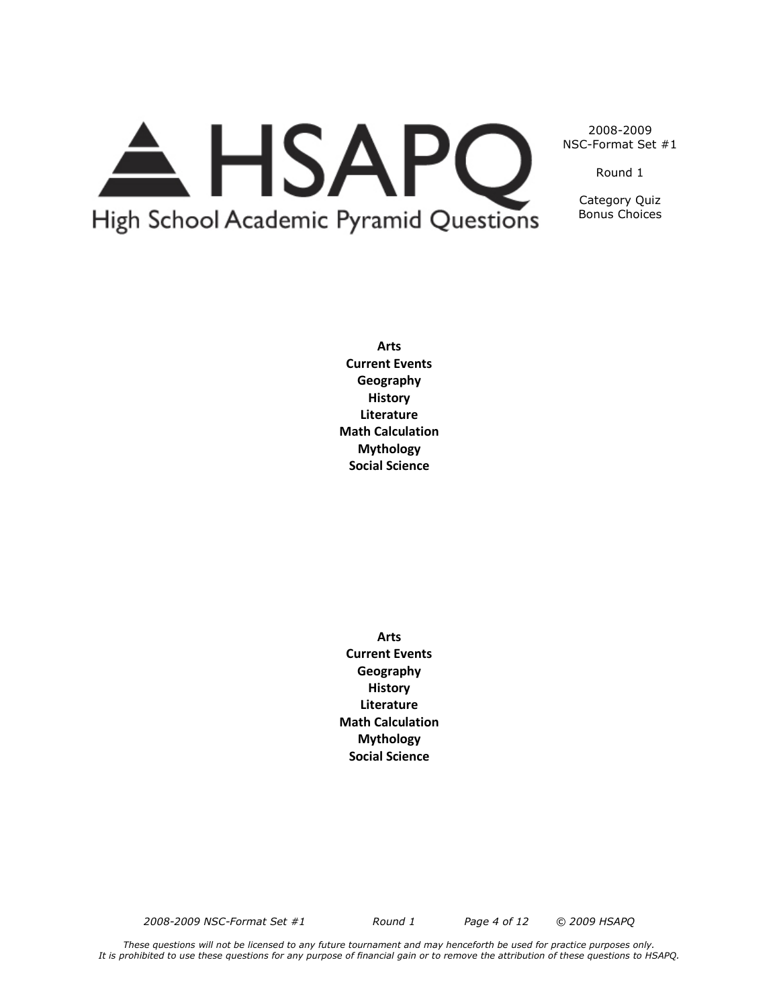# A HSAPQ High School Academic Pyramid Questions

2008-2009 NSC-Format Set #1

Round 1

Category Quiz Bonus Choices

**Arts Current Events Geography History Literature Math Calculation Mythology Social Science**

**Arts Current Events Geography History Literature Math Calculation Mythology Social Science**

*2008-2009 NSC-Format Set #1 Round 1 Page 4 of 12 © 2009 HSAPQ*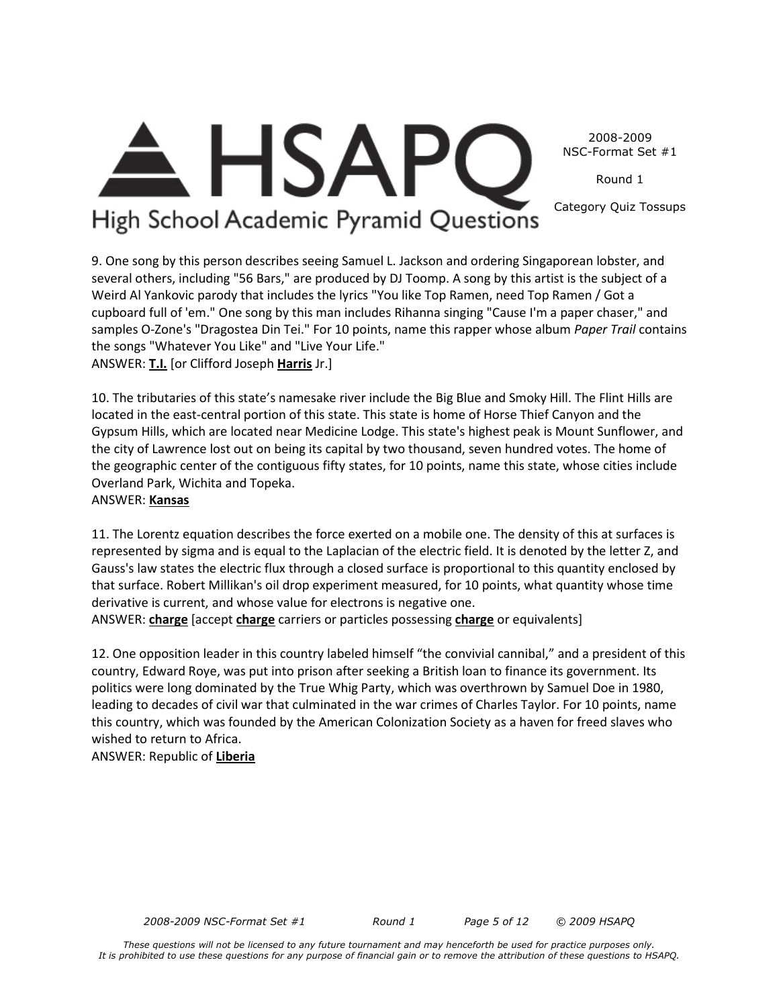2008-2009 NSC-Format Set #1

Round 1

Category Quiz Tossups

## **HSAP** High School Academic Pyramid Questions

9. One song by this person describes seeing Samuel L. Jackson and ordering Singaporean lobster, and several others, including "56 Bars," are produced by DJ Toomp. A song by this artist is the subject of a Weird Al Yankovic parody that includes the lyrics "You like Top Ramen, need Top Ramen / Got a cupboard full of 'em." One song by this man includes Rihanna singing "Cause I'm a paper chaser," and samples O-Zone's "Dragostea Din Tei." For 10 points, name this rapper whose album *Paper Trail* contains the songs "Whatever You Like" and "Live Your Life." ANSWER: **T.I.** [or Clifford Joseph **Harris** Jr.]

10. The tributaries of this state's namesake river include the Big Blue and Smoky Hill. The Flint Hills are located in the east-central portion of this state. This state is home of Horse Thief Canyon and the Gypsum Hills, which are located near Medicine Lodge. This state's highest peak is Mount Sunflower, and the city of Lawrence lost out on being its capital by two thousand, seven hundred votes. The home of the geographic center of the contiguous fifty states, for 10 points, name this state, whose cities include Overland Park, Wichita and Topeka.

## ANSWER: **Kansas**

11. The Lorentz equation describes the force exerted on a mobile one. The density of this at surfaces is represented by sigma and is equal to the Laplacian of the electric field. It is denoted by the letter Z, and Gauss's law states the electric flux through a closed surface is proportional to this quantity enclosed by that surface. Robert Millikan's oil drop experiment measured, for 10 points, what quantity whose time derivative is current, and whose value for electrons is negative one.

ANSWER: **charge** [accept **charge** carriers or particles possessing **charge** or equivalents]

12. One opposition leader in this country labeled himself "the convivial cannibal," and a president of this country, Edward Roye, was put into prison after seeking a British loan to finance its government. Its politics were long dominated by the True Whig Party, which was overthrown by Samuel Doe in 1980, leading to decades of civil war that culminated in the war crimes of Charles Taylor. For 10 points, name this country, which was founded by the American Colonization Society as a haven for freed slaves who wished to return to Africa.

ANSWER: Republic of **Liberia**

*2008-2009 NSC-Format Set #1 Round 1 Page 5 of 12 © 2009 HSAPQ*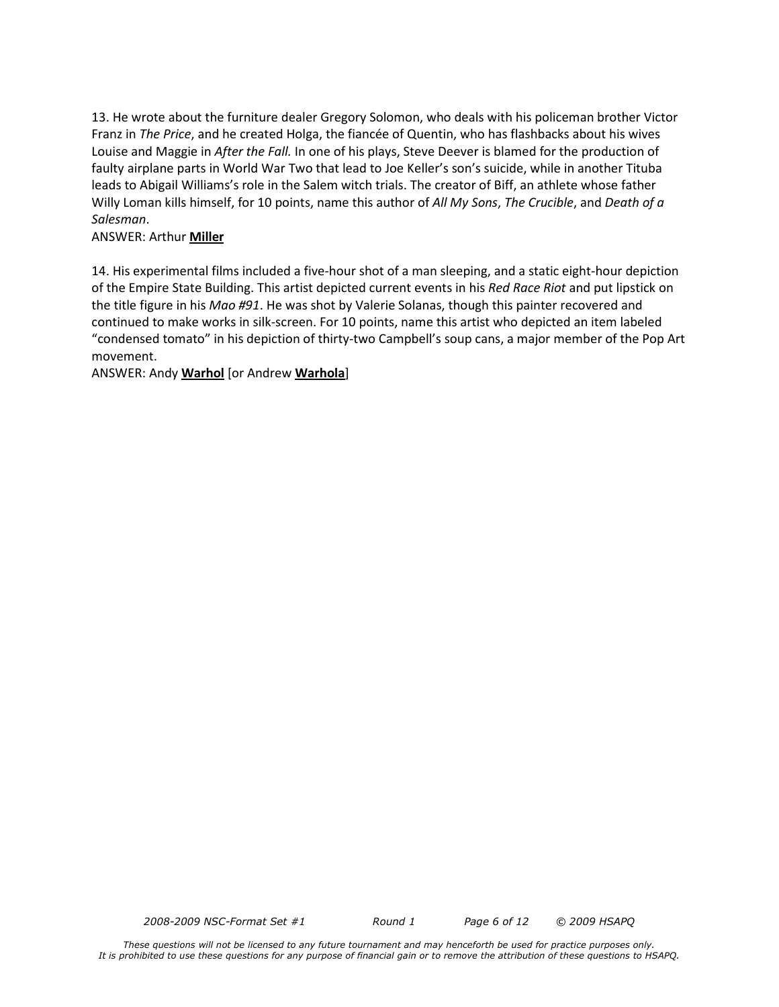13. He wrote about the furniture dealer Gregory Solomon, who deals with his policeman brother Victor Franz in *The Price*, and he created Holga, the fiancée of Quentin, who has flashbacks about his wives Louise and Maggie in *After the Fall.* In one of his plays, Steve Deever is blamed for the production of faulty airplane parts in World War Two that lead to Joe Keller's son's suicide, while in another Tituba leads to Abigail Williams's role in the Salem witch trials. The creator of Biff, an athlete whose father Willy Loman kills himself, for 10 points, name this author of *All My Sons*, *The Crucible*, and *Death of a Salesman*.

#### ANSWER: Arthur **Miller**

14. His experimental films included a five-hour shot of a man sleeping, and a static eight-hour depiction of the Empire State Building. This artist depicted current events in his *Red Race Riot* and put lipstick on the title figure in his *Mao #91*. He was shot by Valerie Solanas, though this painter recovered and continued to make works in silk-screen. For 10 points, name this artist who depicted an item labeled "condensed tomato" in his depiction of thirty-two Campbell's soup cans, a major member of the Pop Art movement.

ANSWER: Andy **Warhol** [or Andrew **Warhola**]

*2008-2009 NSC-Format Set #1 Round 1 Page 6 of 12 © 2009 HSAPQ*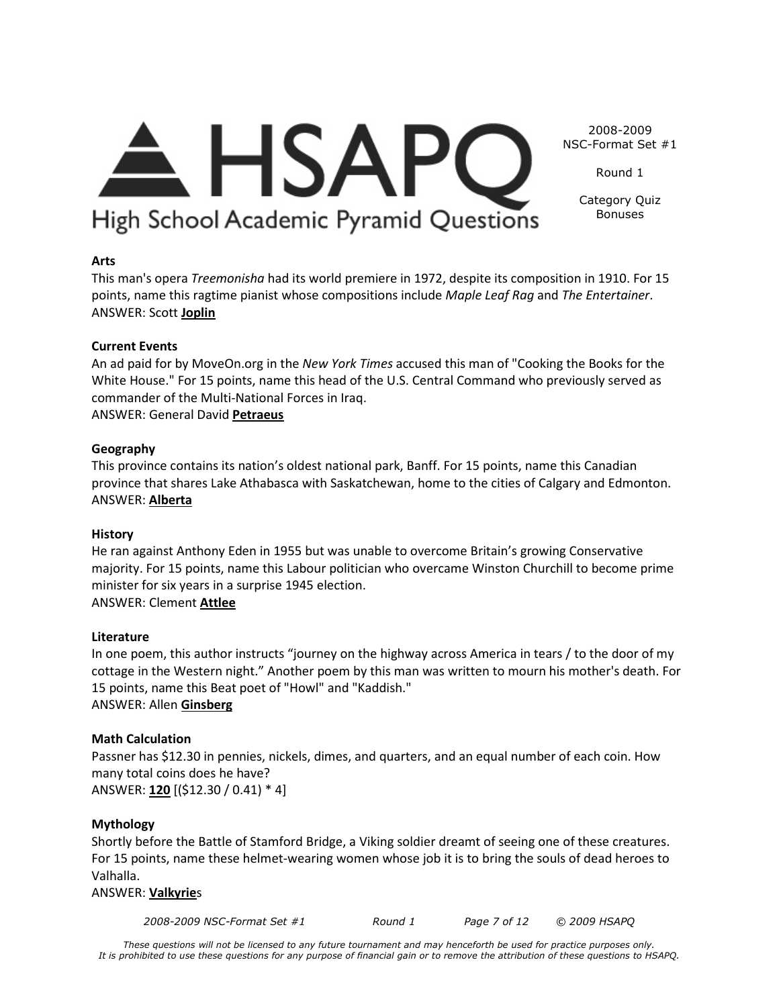# <del>A</del> HSAPC High School Academic Pyramid Questions

NSC-Format Set #1 Round 1

2008-2009

Category Quiz Bonuses

## **Arts**

This man's opera *Treemonisha* had its world premiere in 1972, despite its composition in 1910. For 15 points, name this ragtime pianist whose compositions include *Maple Leaf Rag* and *The Entertainer*. ANSWER: Scott **Joplin**

## **Current Events**

An ad paid for by MoveOn.org in the *New York Times* accused this man of "Cooking the Books for the White House." For 15 points, name this head of the U.S. Central Command who previously served as commander of the Multi-National Forces in Iraq.

ANSWER: General David **Petraeus**

## **Geography**

This province contains its nation's oldest national park, Banff. For 15 points, name this Canadian province that shares Lake Athabasca with Saskatchewan, home to the cities of Calgary and Edmonton. ANSWER: **Alberta**

## **History**

He ran against Anthony Eden in 1955 but was unable to overcome Britain's growing Conservative majority. For 15 points, name this Labour politician who overcame Winston Churchill to become prime minister for six years in a surprise 1945 election. ANSWER: Clement **Attlee**

## **Literature**

In one poem, this author instructs "journey on the highway across America in tears / to the door of my cottage in the Western night." Another poem by this man was written to mourn his mother's death. For 15 points, name this Beat poet of "Howl" and "Kaddish." ANSWER: Allen **Ginsberg**

## **Math Calculation**

Passner has \$12.30 in pennies, nickels, dimes, and quarters, and an equal number of each coin. How many total coins does he have? ANSWER: **120** [(\$12.30 / 0.41) \* 4]

## **Mythology**

Shortly before the Battle of Stamford Bridge, a Viking soldier dreamt of seeing one of these creatures. For 15 points, name these helmet-wearing women whose job it is to bring the souls of dead heroes to Valhalla.

## ANSWER: **Valkyrie**s

*2008-2009 NSC-Format Set #1 Round 1 Page 7 of 12 © 2009 HSAPQ*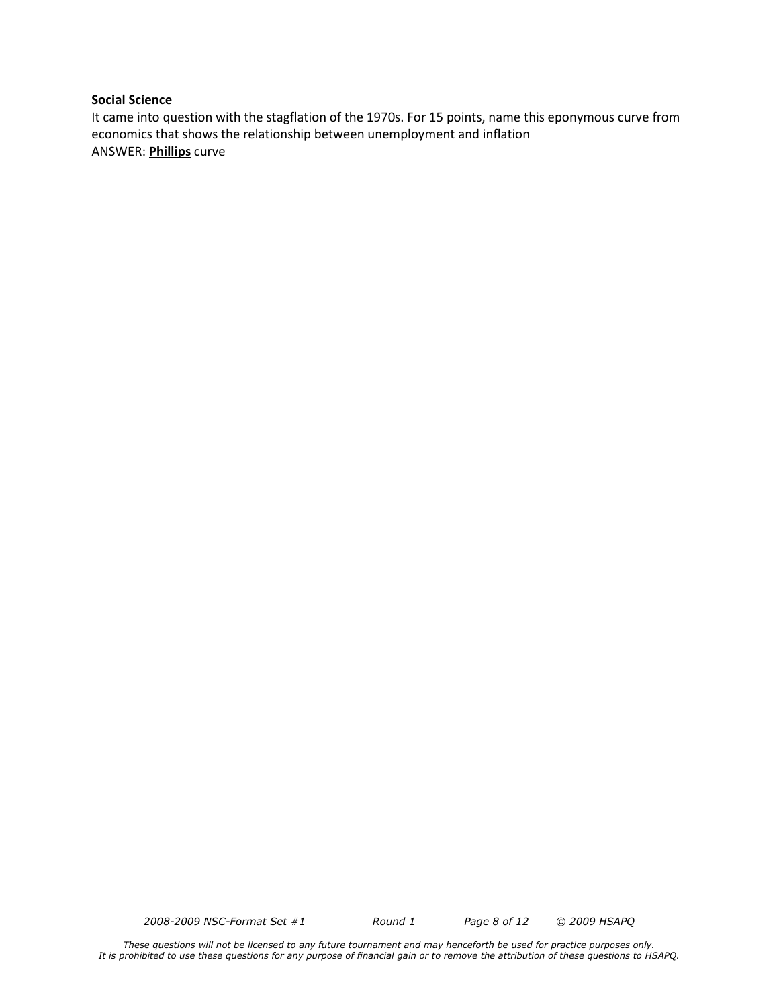#### **Social Science**

It came into question with the stagflation of the 1970s. For 15 points, name this eponymous curve from economics that shows the relationship between unemployment and inflation ANSWER: **Phillips** curve

*2008-2009 NSC-Format Set #1 Round 1 Page 8 of 12 © 2009 HSAPQ* 

*These questions will not be licensed to any future tournament and may henceforth be used for practice purposes only. It is prohibited to use these questions for any purpose of financial gain or to remove the attribution of these questions to HSAPQ.*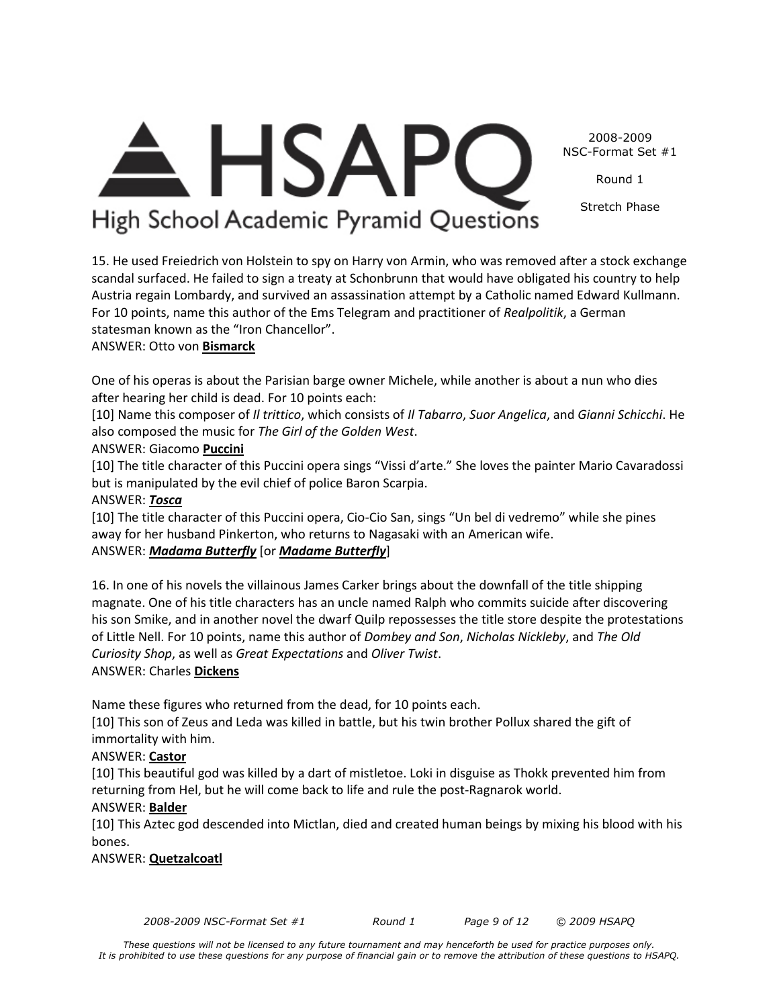*2008-2009 NSC-Format Set #1 Round 1 Page 9 of 12 © 2009 HSAPQ* 

## $\triangle$  HSAPC High School Academic Pyramid Questions

2008-2009 NSC-Format Set #1

Round 1

Stretch Phase

15. He used Freiedrich von Holstein to spy on Harry von Armin, who was removed after a stock exchange scandal surfaced. He failed to sign a treaty at Schonbrunn that would have obligated his country to help Austria regain Lombardy, and survived an assassination attempt by a Catholic named Edward Kullmann.

For 10 points, name this author of the Ems Telegram and practitioner of *Realpolitik*, a German statesman known as the "Iron Chancellor".

## ANSWER: Otto von **Bismarck**

One of his operas is about the Parisian barge owner Michele, while another is about a nun who dies after hearing her child is dead. For 10 points each:

[10] Name this composer of *Il trittico*, which consists of *Il Tabarro*, *Suor Angelica*, and *Gianni Schicchi*. He also composed the music for *The Girl of the Golden West*.

## ANSWER: Giacomo **Puccini**

[10] The title character of this Puccini opera sings "Vissi d'arte." She loves the painter Mario Cavaradossi but is manipulated by the evil chief of police Baron Scarpia.

## ANSWER: *Tosca*

[10] The title character of this Puccini opera, Cio-Cio San, sings "Un bel di vedremo" while she pines away for her husband Pinkerton, who returns to Nagasaki with an American wife.

## ANSWER: *Madama Butterfly* [or *Madame Butterfly*]

16. In one of his novels the villainous James Carker brings about the downfall of the title shipping magnate. One of his title characters has an uncle named Ralph who commits suicide after discovering his son Smike, and in another novel the dwarf Quilp repossesses the title store despite the protestations of Little Nell. For 10 points, name this author of *Dombey and Son*, *Nicholas Nickleby*, and *The Old Curiosity Shop*, as well as *Great Expectations* and *Oliver Twist*. ANSWER: Charles **Dickens**

Name these figures who returned from the dead, for 10 points each.

[10] This son of Zeus and Leda was killed in battle, but his twin brother Pollux shared the gift of immortality with him.

## ANSWER: **Castor**

[10] This beautiful god was killed by a dart of mistletoe. Loki in disguise as Thokk prevented him from returning from Hel, but he will come back to life and rule the post-Ragnarok world.

## ANSWER: **Balder**

[10] This Aztec god descended into Mictlan, died and created human beings by mixing his blood with his bones.

## ANSWER: **Quetzalcoatl**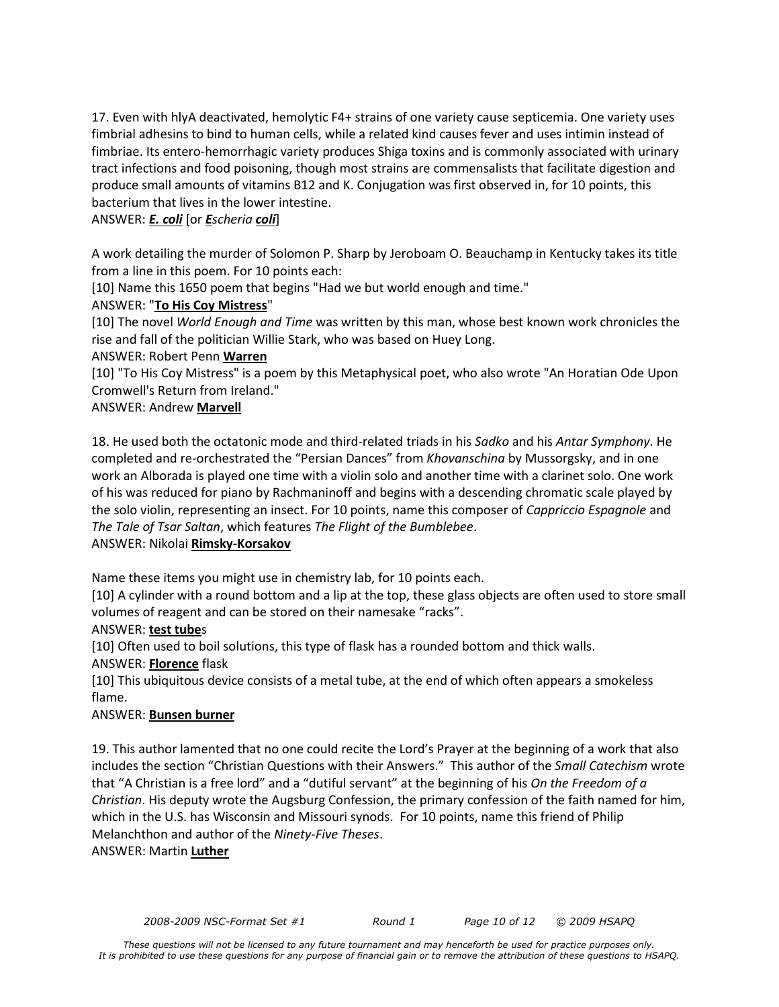17. Even with hlyA deactivated, hemolytic F4+ strains of one variety cause septicemia. One variety uses fimbrial adhesins to bind to human cells, while a related kind causes fever and uses intimin instead of fimbriae. Its entero-hemorrhagic variety produces Shiga toxins and is commonly associated with urinary tract infections and food poisoning, though most strains are commensalists that facilitate digestion and produce small amounts of vitamins B12 and K. Conjugation was first observed in, for 10 points, this bacterium that lives in the lower intestine.

## ANSWER: *E. coli* [or *Escheria coli*]

A work detailing the murder of Solomon P. Sharp by Jeroboam O. Beauchamp in Kentucky takes its title from a line in this poem. For 10 points each:

[10] Name this 1650 poem that begins "Had we but world enough and time."

## ANSWER: "**To His Coy Mistress**"

[10] The novel *World Enough and Time* was written by this man, whose best known work chronicles the rise and fall of the politician Willie Stark, who was based on Huey Long.

## ANSWER: Robert Penn **Warren**

[10] "To His Coy Mistress" is a poem by this Metaphysical poet, who also wrote "An Horatian Ode Upon Cromwell's Return from Ireland."

## ANSWER: Andrew **Marvell**

18. He used both the octatonic mode and third-related triads in his *Sadko* and his *Antar Symphony*. He completed and re-orchestrated the "Persian Dances" from *Khovanschina* by Mussorgsky, and in one work an Alborada is played one time with a violin solo and another time with a clarinet solo. One work of his was reduced for piano by Rachmaninoff and begins with a descending chromatic scale played by the solo violin, representing an insect. For 10 points, name this composer of *Cappriccio Espagnole* and *The Tale of Tsar Saltan*, which features *The Flight of the Bumblebee*.

## ANSWER: Nikolai **Rimsky-Korsakov**

Name these items you might use in chemistry lab, for 10 points each.

[10] A cylinder with a round bottom and a lip at the top, these glass objects are often used to store small volumes of reagent and can be stored on their namesake "racks".

## ANSWER: **test tube**s

[10] Often used to boil solutions, this type of flask has a rounded bottom and thick walls.

## ANSWER: **Florence** flask

[10] This ubiquitous device consists of a metal tube, at the end of which often appears a smokeless flame.

## ANSWER: **Bunsen burner**

19. This author lamented that no one could recite the Lord's Prayer at the beginning of a work that also includes the section "Christian Questions with their Answers." This author of the *Small Catechism* wrote that "A Christian is a free lord" and a "dutiful servant" at the beginning of his *On the Freedom of a Christian*. His deputy wrote the Augsburg Confession, the primary confession of the faith named for him, which in the U.S. has Wisconsin and Missouri synods. For 10 points, name this friend of Philip Melanchthon and author of the *Ninety-Five Theses*.

## ANSWER: Martin **Luther**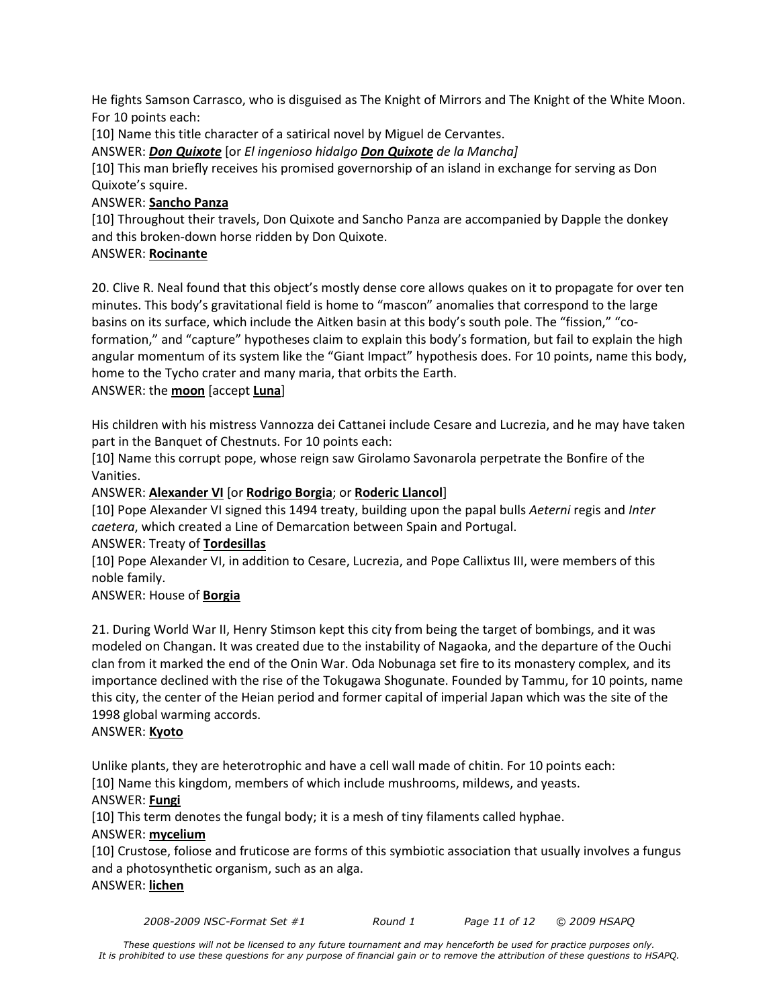He fights Samson Carrasco, who is disguised as The Knight of Mirrors and The Knight of the White Moon. For 10 points each:

[10] Name this title character of a satirical novel by Miguel de Cervantes.

ANSWER: *Don Quixote* [or *El ingenioso hidalgo Don Quixote de la Mancha]*

[10] This man briefly receives his promised governorship of an island in exchange for serving as Don Quixote's squire.

## ANSWER: **Sancho Panza**

[10] Throughout their travels, Don Quixote and Sancho Panza are accompanied by Dapple the donkey and this broken-down horse ridden by Don Quixote.

## ANSWER: **Rocinante**

20. Clive R. Neal found that this object's mostly dense core allows quakes on it to propagate for over ten minutes. This body's gravitational field is home to "mascon" anomalies that correspond to the large basins on its surface, which include the Aitken basin at this body's south pole. The "fission," "coformation," and "capture" hypotheses claim to explain this body's formation, but fail to explain the high angular momentum of its system like the "Giant Impact" hypothesis does. For 10 points, name this body, home to the Tycho crater and many maria, that orbits the Earth.

## ANSWER: the **moon** [accept **Luna**]

His children with his mistress Vannozza dei Cattanei include Cesare and Lucrezia, and he may have taken part in the Banquet of Chestnuts. For 10 points each:

[10] Name this corrupt pope, whose reign saw Girolamo Savonarola perpetrate the Bonfire of the Vanities.

## ANSWER: **Alexander VI** [or **Rodrigo Borgia**; or **Roderic Llancol**]

[10] Pope Alexander VI signed this 1494 treaty, building upon the papal bulls *Aeterni* regis and *Inter caetera*, which created a Line of Demarcation between Spain and Portugal.

## ANSWER: Treaty of **Tordesillas**

[10] Pope Alexander VI, in addition to Cesare, Lucrezia, and Pope Callixtus III, were members of this noble family.

## ANSWER: House of **Borgia**

21. During World War II, Henry Stimson kept this city from being the target of bombings, and it was modeled on Changan. It was created due to the instability of Nagaoka, and the departure of the Ouchi clan from it marked the end of the Onin War. Oda Nobunaga set fire to its monastery complex, and its importance declined with the rise of the Tokugawa Shogunate. Founded by Tammu, for 10 points, name this city, the center of the Heian period and former capital of imperial Japan which was the site of the 1998 global warming accords.

## ANSWER: **Kyoto**

Unlike plants, they are heterotrophic and have a cell wall made of chitin. For 10 points each: [10] Name this kingdom, members of which include mushrooms, mildews, and yeasts.

## ANSWER: **Fungi**

[10] This term denotes the fungal body; it is a mesh of tiny filaments called hyphae.

## ANSWER: **mycelium**

[10] Crustose, foliose and fruticose are forms of this symbiotic association that usually involves a fungus and a photosynthetic organism, such as an alga.

## ANSWER: **lichen**

*2008-2009 NSC-Format Set #1 Round 1 Page 11 of 12 © 2009 HSAPQ*